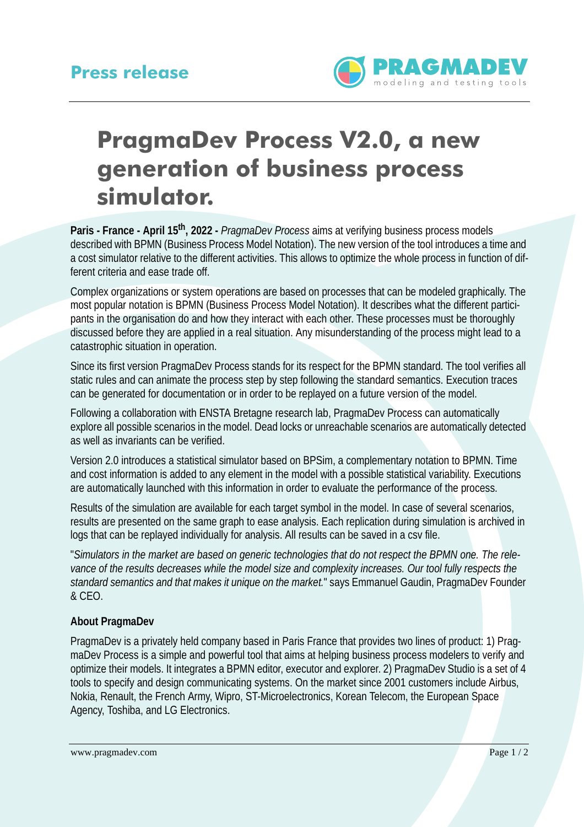

## **PragmaDev Process V2.0, a new generation of business process simulator.**

**Paris - France - April 15th, 2022 -** *PragmaDev Process* aims at verifying business process models described with BPMN (Business Process Model Notation). The new version of the tool introduces a time and a cost simulator relative to the different activities. This allows to optimize the whole process in function of different criteria and ease trade off.

Complex organizations or system operations are based on processes that can be modeled graphically. The most popular notation is BPMN (Business Process Model Notation). It describes what the different participants in the organisation do and how they interact with each other. These processes must be thoroughly discussed before they are applied in a real situation. Any misunderstanding of the process might lead to a catastrophic situation in operation.

Since its first version PragmaDev Process stands for its respect for the BPMN standard. The tool verifies all static rules and can animate the process step by step following the standard semantics. Execution traces can be generated for documentation or in order to be replayed on a future version of the model.

Following a collaboration with ENSTA Bretagne research lab, PragmaDev Process can automatically explore all possible scenarios in the model. Dead locks or unreachable scenarios are automatically detected as well as invariants can be verified.

Version 2.0 introduces a statistical simulator based on BPSim, a complementary notation to BPMN. Time and cost information is added to any element in the model with a possible statistical variability. Executions are automatically launched with this information in order to evaluate the performance of the process.

Results of the simulation are available for each target symbol in the model. In case of several scenarios, results are presented on the same graph to ease analysis. Each replication during simulation is archived in logs that can be replayed individually for analysis. All results can be saved in a csv file.

"*Simulators in the market are based on generic technologies that do not respect the BPMN one. The relevance of the results decreases while the model size and complexity increases. Our tool fully respects the standard semantics and that makes it unique on the market.*" says Emmanuel Gaudin, PragmaDev Founder & CEO.

## **[About PragmaDev](http://www.pragmadev.com)**

PragmaDev is a privately held company based in Paris France that provides two lines of product: 1) PragmaDev Process is a simple and powerful tool that aims at helping business process modelers to verify and optimize their models. It integrates a BPMN editor, executor and explorer. 2) PragmaDev Studio is a set of 4 tools to specify and design communicating systems. On the market since 2001 customers include Airbus, Nokia, Renault, the French Army, Wipro, ST-Microelectronics, Korean Telecom, the European Space Agency, Toshiba, and LG Electronics.